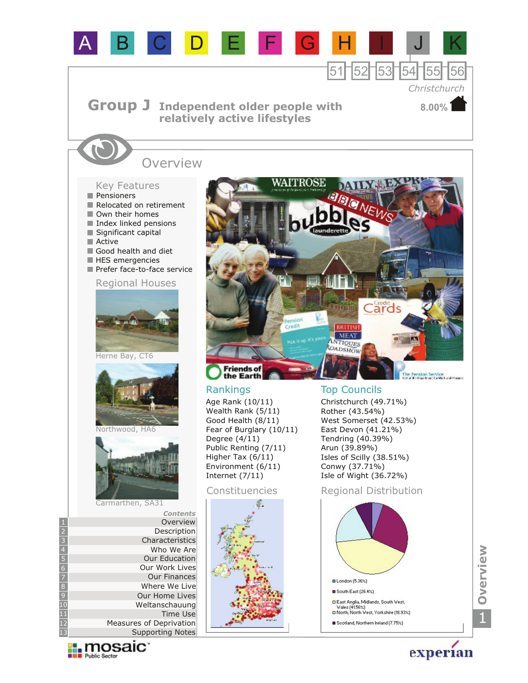

 $\prod_{\text{public Sector}}$ 

experian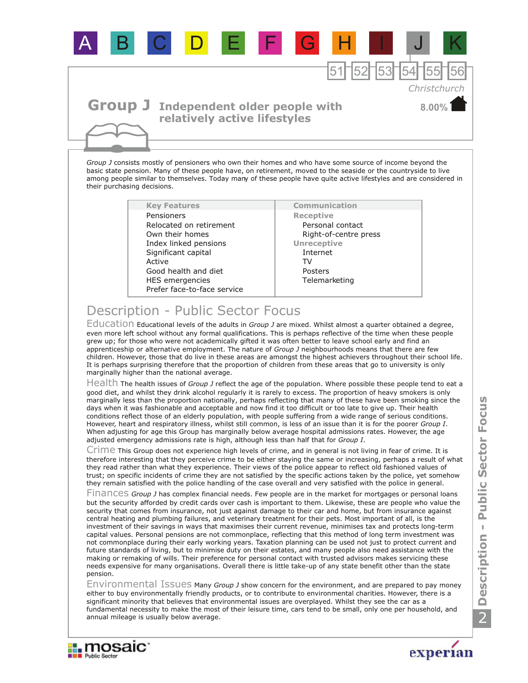

## **Group J** Independent older people with **relatively active lifestyles**

*Group J* consists mostly of pensioners who own their homes and who have some source of income beyond the basic state pension. Many of these people have, on retirement, moved to the seaside or the countryside to live among people similar to themselves. Today many of these people have quite active lifestyles and are considered in their purchasing decisions.

> **Key Features Communication** HES emergencies Own their homes Index linked pensions Significant capital Prefer face-to-face service Active Good health and diet Relocated on retirement Pensioners

**Receptive** Personal contact Right-of-centre press **Telemarketing Unreceptive** Internet TV Posters

## Description - Public Sector Focus

Education Educational levels of the adults in *Group J* are mixed. Whilst almost a quarter obtained a degree, even more left school without any formal qualifications. This is perhaps reflective of the time when these people grew up; for those who were not academically gifted it was often better to leave school early and find an apprenticeship or alternative employment. The nature of *Group J* neighbourhoods means that there are few children. However, those that do live in these areas are amongst the highest achievers throughout their school life. It is perhaps surprising therefore that the proportion of children from these areas that go to university is only marginally higher than the national average.

Health The health issues of *Group J* reflect the age of the population. Where possible these people tend to eat a good diet, and whilst they drink alcohol regularly it is rarely to excess. The proportion of heavy smokers is only marginally less than the proportion nationally, perhaps reflecting that many of these have been smoking since the days when it was fashionable and acceptable and now find it too difficult or too late to give up. Their health conditions reflect those of an elderly population, with people suffering from a wide range of serious conditions. However, heart and respiratory illness, whilst still common, is less of an issue than it is for the poorer *Group I*. When adjusting for age this Group has marginally below average hospital admissions rates. However, the age adjusted emergency admissions rate is high, although less than half that for *Group I*.

Crime This Group does not experience high levels of crime, and in general is not living in fear of crime. It is therefore interesting that they perceive crime to be either staying the same or increasing, perhaps a result of what they read rather than what they experience. Their views of the police appear to reflect old fashioned values of trust; on specific incidents of crime they are not satisfied by the specific actions taken by the police, yet somehow they remain satisfied with the police handling of the case overall and very satisfied with the police in general.

Finances Group J has complex financial needs. Few people are in the market for mortgages or personal loans but the security afforded by credit cards over cash is important to them. Likewise, these are people who value the security that comes from insurance, not just against damage to their car and home, but from insurance against central heating and plumbing failures, and veterinary treatment for their pets. Most important of all, is the investment of their savings in ways that maximises their current revenue, minimises tax and protects long-term capital values. Personal pensions are not commonplace, reflecting that this method of long term investment was not commonplace during their early working years. Taxation planning can be used not just to protect current and future standards of living, but to minimise duty on their estates, and many people also need assistance with the making or remaking of wills. Their preference for personal contact with trusted advisors makes servicing these needs expensive for many organisations. Overall there is little take-up of any state benefit other than the state pension.

Environmental Issues Many *Group J* show concern for the environment, and are prepared to pay money either to buy environmentally friendly products, or to contribute to environmental charities. However, there is a significant minority that believes that environmental issues are overplayed. Whilst they see the car as a fundamental necessity to make the most of their leisure time, cars tend to be small, only one per household, and annual mileage is usually below average.





**8.00%**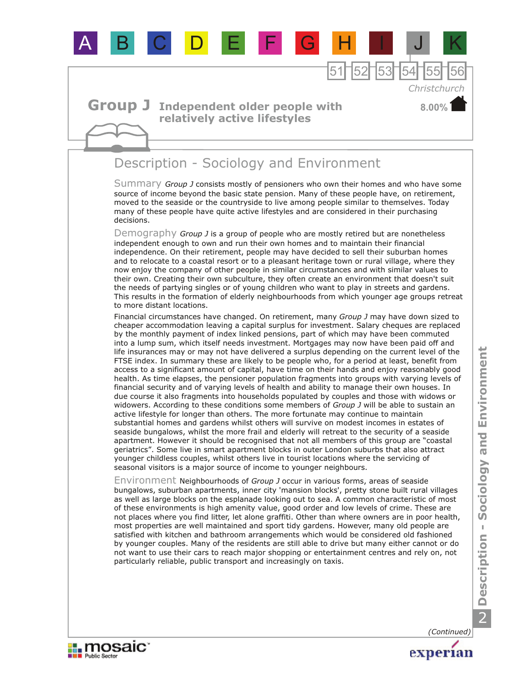

Summary Group J consists mostly of pensioners who own their homes and who have some source of income beyond the basic state pension. Many of these people have, on retirement, moved to the seaside or the countryside to live among people similar to themselves. Today many of these people have quite active lifestyles and are considered in their purchasing decisions.

Demography *Group J* is a group of people who are mostly retired but are nonetheless independent enough to own and run their own homes and to maintain their financial independence. On their retirement, people may have decided to sell their suburban homes and to relocate to a coastal resort or to a pleasant heritage town or rural village, where they now enjoy the company of other people in similar circumstances and with similar values to their own. Creating their own subculture, they often create an environment that doesn't suit the needs of partying singles or of young children who want to play in streets and gardens. This results in the formation of elderly neighbourhoods from which younger age groups retreat to more distant locations.

Financial circumstances have changed. On retirement, many *Group J* may have down sized to cheaper accommodation leaving a capital surplus for investment. Salary cheques are replaced by the monthly payment of index linked pensions, part of which may have been commuted into a lump sum, which itself needs investment. Mortgages may now have been paid off and life insurances may or may not have delivered a surplus depending on the current level of the FTSE index. In summary these are likely to be people who, for a period at least, benefit from access to a significant amount of capital, have time on their hands and enjoy reasonably good health. As time elapses, the pensioner population fragments into groups with varying levels of financial security and of varying levels of health and ability to manage their own houses. In due course it also fragments into households populated by couples and those with widows or widowers. According to these conditions some members of *Group J* will be able to sustain an active lifestyle for longer than others. The more fortunate may continue to maintain substantial homes and gardens whilst others will survive on modest incomes in estates of seaside bungalows, whilst the more frail and elderly will retreat to the security of a seaside apartment. However it should be recognised that not all members of this group are "coastal geriatrics". Some live in smart apartment blocks in outer London suburbs that also attract younger childless couples, whilst others live in tourist locations where the servicing of seasonal visitors is a major source of income to younger neighbours.

Environment Neighbourhoods of *Group J* occur in various forms, areas of seaside bungalows, suburban apartments, inner city 'mansion blocks', pretty stone built rural villages as well as large blocks on the esplanade looking out to sea. A common characteristic of most of these environments is high amenity value, good order and low levels of crime. These are not places where you find litter, let alone graffiti. Other than where owners are in poor health, most properties are well maintained and sport tidy gardens. However, many old people are satisfied with kitchen and bathroom arrangements which would be considered old fashioned by younger couples. Many of the residents are still able to drive but many either cannot or do not want to use their cars to reach major shopping or entertainment centres and rely on, not particularly reliable, public transport and increasingly on taxis.

*(Continued)*

experian